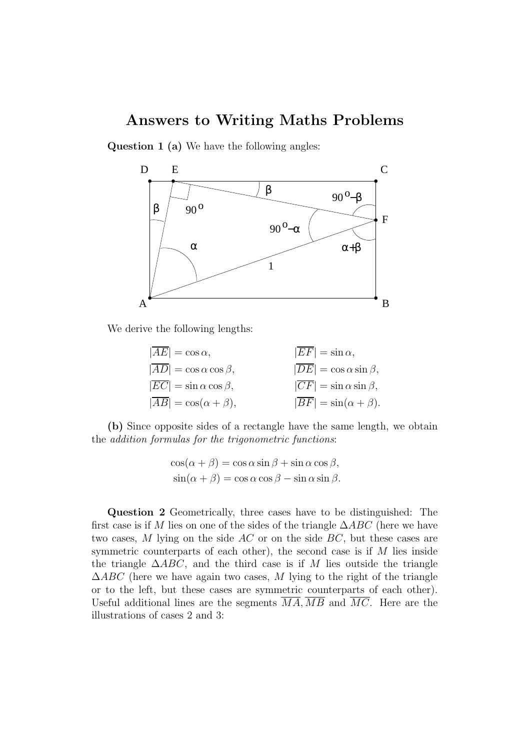## Answers to Writing Maths Problems

Question 1 (a) We have the following angles:



We derive the following lengths:

| $ AE  = \cos \alpha$ ,                      | $ \overline{E}F =\sin \alpha,$              |
|---------------------------------------------|---------------------------------------------|
| $ \overline{AD}  = \cos \alpha \cos \beta,$ | $ \overline{DE}  = \cos \alpha \sin \beta,$ |
| $ \overline{EC}  = \sin \alpha \cos \beta,$ | $ \overline{CF}  = \sin \alpha \sin \beta,$ |
| $ \overline{AB}  = \cos(\alpha + \beta),$   | $ \overline{BF}  = \sin(\alpha + \beta).$   |

(b) Since opposite sides of a rectangle have the same length, we obtain the *addition formulas for the trigonometric functions*:

$$
\cos(\alpha + \beta) = \cos \alpha \sin \beta + \sin \alpha \cos \beta,
$$
  

$$
\sin(\alpha + \beta) = \cos \alpha \cos \beta - \sin \alpha \sin \beta.
$$

Question 2 Geometrically, three cases have to be distinguished: The first case is if M lies on one of the sides of the triangle  $\Delta ABC$  (here we have two cases, M lying on the side AC or on the side BC, but these cases are symmetric counterparts of each other), the second case is if M lies inside the triangle  $\triangle ABC$ , and the third case is if M lies outside the triangle  $\triangle ABC$  (here we have again two cases, M lying to the right of the triangle or to the left, but these cases are symmetric counterparts of each other). Useful additional lines are the segments  $\overline{MA}, \overline{MB}$  and  $\overline{MC}$ . Here are the illustrations of cases 2 and 3: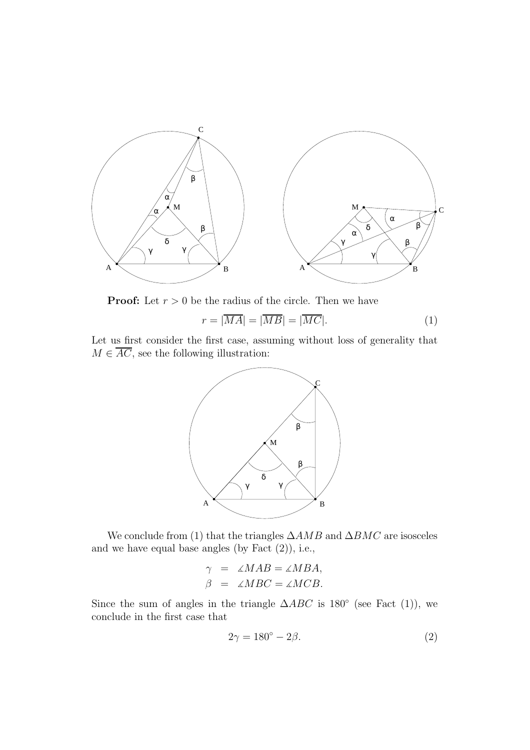

**Proof:** Let  $r > 0$  be the radius of the circle. Then we have

$$
r = |\overline{MA}| = |\overline{MB}| = |\overline{MC}|.
$$
 (1)

Let us first consider the first case, assuming without loss of generality that  $M \in \overline{AC}$ , see the following illustration:



We conclude from (1) that the triangles  $\triangle AMB$  and  $\triangle BMC$  are isosceles and we have equal base angles (by Fact (2)), i.e.,

$$
\gamma = \angle MAB = \angle MBA,
$$
  

$$
\beta = \angle MBC = \angle MCB.
$$

Since the sum of angles in the triangle  $\triangle ABC$  is 180° (see Fact (1)), we conclude in the first case that

$$
2\gamma = 180^\circ - 2\beta. \tag{2}
$$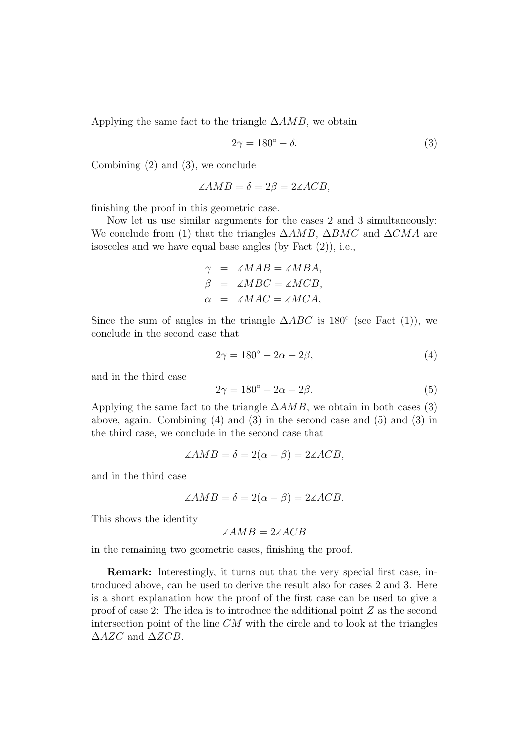Applying the same fact to the triangle  $\triangle AMB$ , we obtain

$$
2\gamma = 180^\circ - \delta. \tag{3}
$$

Combining (2) and (3), we conclude

$$
\angle AMB = \delta = 2\beta = 2\angle ACB,
$$

finishing the proof in this geometric case.

Now let us use similar arguments for the cases 2 and 3 simultaneously: We conclude from (1) that the triangles  $\triangle AMB$ ,  $\triangle BMC$  and  $\triangle CMA$  are isosceles and we have equal base angles (by Fact (2)), i.e.,

$$
\gamma = \angle MAB = \angle MBA,
$$
  
\n
$$
\beta = \angle MBC = \angle MCB,
$$
  
\n
$$
\alpha = \angle MAC = \angle MCA,
$$

Since the sum of angles in the triangle  $\triangle ABC$  is 180° (see Fact (1)), we conclude in the second case that

$$
2\gamma = 180^\circ - 2\alpha - 2\beta,\tag{4}
$$

and in the third case

$$
2\gamma = 180^{\circ} + 2\alpha - 2\beta.
$$
 (5)

Applying the same fact to the triangle  $\triangle AMB$ , we obtain in both cases (3) above, again. Combining (4) and (3) in the second case and (5) and (3) in the third case, we conclude in the second case that

$$
\angle AMB = \delta = 2(\alpha + \beta) = 2\angle ACB,
$$

and in the third case

$$
\angle AMB = \delta = 2(\alpha - \beta) = 2\angle ACB.
$$

This shows the identity

$$
\angle AMB = 2\angle ACB
$$

in the remaining two geometric cases, finishing the proof.

Remark: Interestingly, it turns out that the very special first case, introduced above, can be used to derive the result also for cases 2 and 3. Here is a short explanation how the proof of the first case can be used to give a proof of case 2: The idea is to introduce the additional point Z as the second intersection point of the line  $CM$  with the circle and to look at the triangles  $\triangle$ AZC and  $\triangle$ ZCB.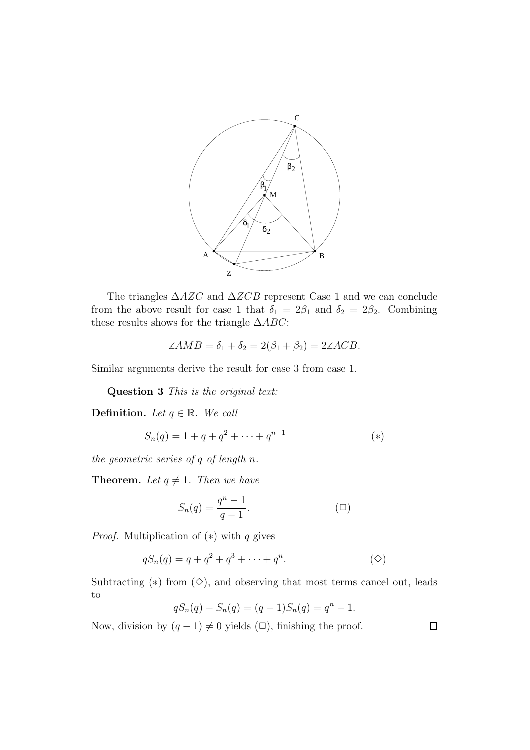

The triangles  $\triangle$ AZC and  $\triangle$ ZCB represent Case 1 and we can conclude from the above result for case 1 that  $\delta_1 = 2\beta_1$  and  $\delta_2 = 2\beta_2$ . Combining these results shows for the triangle  $\triangle ABC$ :

$$
\angle AMB = \delta_1 + \delta_2 = 2(\beta_1 + \beta_2) = 2\angle ACB.
$$

Similar arguments derive the result for case 3 from case 1.

Question 3 *This is the original text:*

**Definition.** *Let*  $q \in \mathbb{R}$ *. We call* 

$$
S_n(q) = 1 + q + q^2 + \dots + q^{n-1}
$$
 (\*)

*the geometric series of* q *of length* n*.*

**Theorem.** Let  $q \neq 1$ . Then we have

$$
S_n(q) = \frac{q^n - 1}{q - 1}.\tag{}
$$

*Proof.* Multiplication of  $(*)$  with q gives

$$
qS_n(q) = q + q^2 + q^3 + \dots + q^n.
$$
 (diamond)

Subtracting  $(*)$  from  $(\diamond)$ , and observing that most terms cancel out, leads to

$$
qS_n(q) - S_n(q) = (q-1)S_n(q) = q^n - 1.
$$

Now, division by  $(q - 1) \neq 0$  yields  $(\Box)$ , finishing the proof.

 $\Box$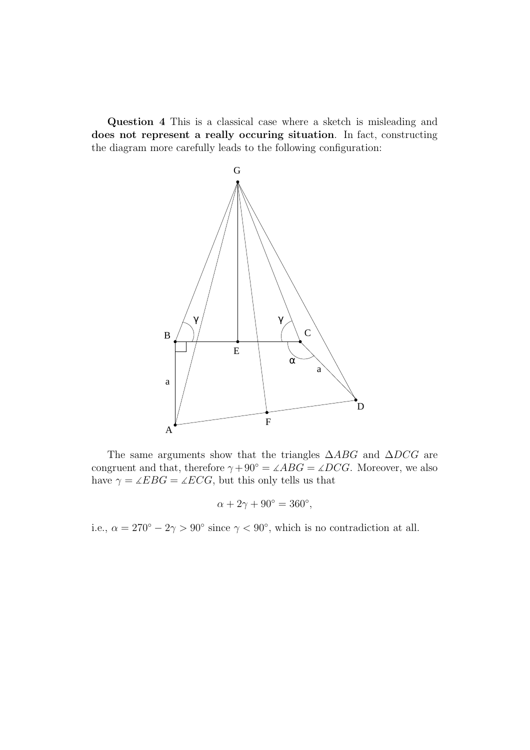Question 4 This is a classical case where a sketch is misleading and does not represent a really occuring situation. In fact, constructing the diagram more carefully leads to the following configuration:



The same arguments show that the triangles  $\triangle ABC$  and  $\triangle DCG$  are congruent and that, therefore  $\gamma + 90^{\circ} = \angle ABC = \angle DCG$ . Moreover, we also have  $\gamma = \angle EBG = \angle ECG$ , but this only tells us that

$$
\alpha + 2\gamma + 90^{\circ} = 360^{\circ},
$$

i.e.,  $\alpha = 270^{\circ} - 2\gamma > 90^{\circ}$  since  $\gamma < 90^{\circ}$ , which is no contradiction at all.